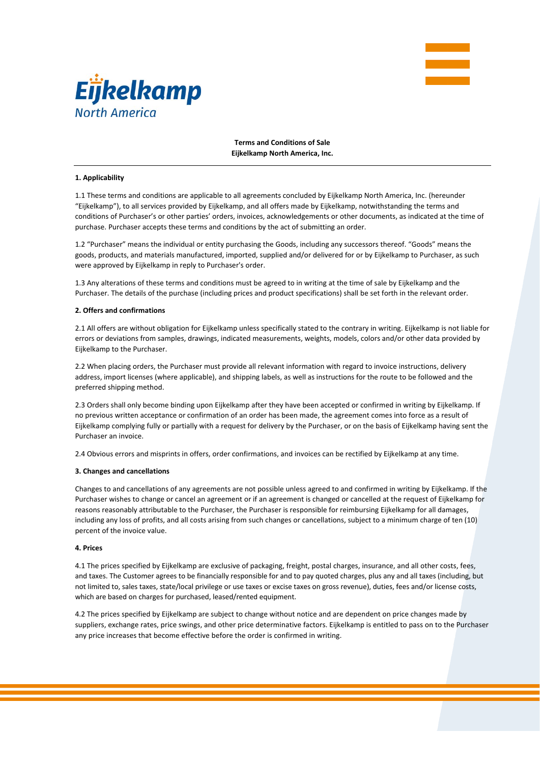



**Terms and Conditions of Sale Eijkelkamp North America, Inc.** 

#### **1. Applicability**

1.1 These terms and conditions are applicable to all agreements concluded by Eijkelkamp North America, Inc. (hereunder "Eijkelkamp"), to all services provided by Eijkelkamp, and all offers made by Eijkelkamp, notwithstanding the terms and conditions of Purchaser's or other parties' orders, invoices, acknowledgements or other documents, as indicated at the time of purchase. Purchaser accepts these terms and conditions by the act of submitting an order.

1.2 "Purchaser" means the individual or entity purchasing the Goods, including any successors thereof. "Goods" means the goods, products, and materials manufactured, imported, supplied and/or delivered for or by Eijkelkamp to Purchaser, as such were approved by Eijkelkamp in reply to Purchaser's order.

1.3 Any alterations of these terms and conditions must be agreed to in writing at the time of sale by Eijkelkamp and the Purchaser. The details of the purchase (including prices and product specifications) shall be set forth in the relevant order.

#### **2. Offers and confirmations**

2.1 All offers are without obligation for Eijkelkamp unless specifically stated to the contrary in writing. Eijkelkamp is not liable for errors or deviations from samples, drawings, indicated measurements, weights, models, colors and/or other data provided by Eijkelkamp to the Purchaser.

2.2 When placing orders, the Purchaser must provide all relevant information with regard to invoice instructions, delivery address, import licenses (where applicable), and shipping labels, as well as instructions for the route to be followed and the preferred shipping method.

2.3 Orders shall only become binding upon Eijkelkamp after they have been accepted or confirmed in writing by Eijkelkamp. If no previous written acceptance or confirmation of an order has been made, the agreement comes into force as a result of Eijkelkamp complying fully or partially with a request for delivery by the Purchaser, or on the basis of Eijkelkamp having sent the Purchaser an invoice.

2.4 Obvious errors and misprints in offers, order confirmations, and invoices can be rectified by Eijkelkamp at any time.

#### **3. Changes and cancellations**

Changes to and cancellations of any agreements are not possible unless agreed to and confirmed in writing by Eijkelkamp. If the Purchaser wishes to change or cancel an agreement or if an agreement is changed or cancelled at the request of Eijkelkamp for reasons reasonably attributable to the Purchaser, the Purchaser is responsible for reimbursing Eijkelkamp for all damages, including any loss of profits, and all costs arising from such changes or cancellations, subject to a minimum charge of ten (10) percent of the invoice value.

### **4. Prices**

4.1 The prices specified by Eijkelkamp are exclusive of packaging, freight, postal charges, insurance, and all other costs, fees, and taxes. The Customer agrees to be financially responsible for and to pay quoted charges, plus any and all taxes (including, but not limited to, sales taxes, state/local privilege or use taxes or excise taxes on gross revenue), duties, fees and/or license costs, which are based on charges for purchased, leased/rented equipment.

4.2 The prices specified by Eijkelkamp are subject to change without notice and are dependent on price changes made by suppliers, exchange rates, price swings, and other price determinative factors. Eijkelkamp is entitled to pass on to the Purchaser any price increases that become effective before the order is confirmed in writing.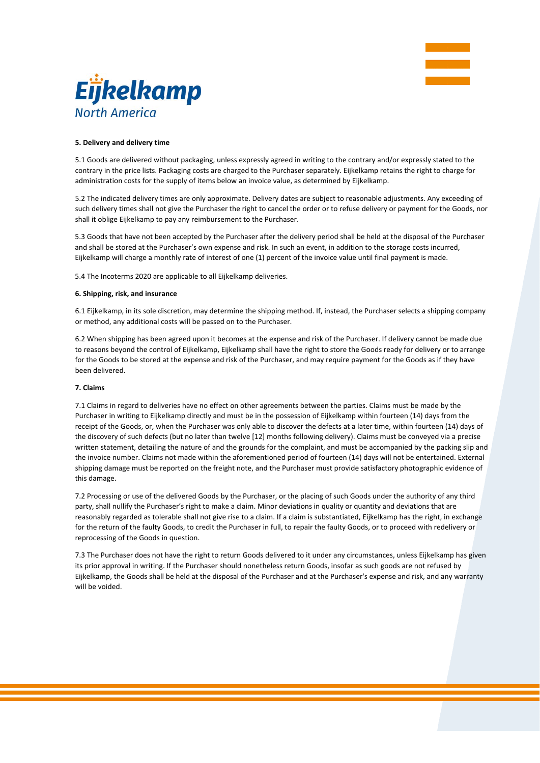



# **5. Delivery and delivery time**

5.1 Goods are delivered without packaging, unless expressly agreed in writing to the contrary and/or expressly stated to the contrary in the price lists. Packaging costs are charged to the Purchaser separately. Eijkelkamp retains the right to charge for administration costs for the supply of items below an invoice value, as determined by Eijkelkamp.

5.2 The indicated delivery times are only approximate. Delivery dates are subject to reasonable adjustments. Any exceeding of such delivery times shall not give the Purchaser the right to cancel the order or to refuse delivery or payment for the Goods, nor shall it oblige Eijkelkamp to pay any reimbursement to the Purchaser.

5.3 Goods that have not been accepted by the Purchaser after the delivery period shall be held at the disposal of the Purchaser and shall be stored at the Purchaser's own expense and risk. In such an event, in addition to the storage costs incurred, Eijkelkamp will charge a monthly rate of interest of one (1) percent of the invoice value until final payment is made.

5.4 The Incoterms 2020 are applicable to all Eijkelkamp deliveries.

# **6. Shipping, risk, and insurance**

6.1 Eijkelkamp, in its sole discretion, may determine the shipping method. If, instead, the Purchaser selects a shipping company or method, any additional costs will be passed on to the Purchaser.

6.2 When shipping has been agreed upon it becomes at the expense and risk of the Purchaser. If delivery cannot be made due to reasons beyond the control of Eijkelkamp, Eijkelkamp shall have the right to store the Goods ready for delivery or to arrange for the Goods to be stored at the expense and risk of the Purchaser, and may require payment for the Goods as if they have been delivered.

## **7. Claims**

7.1 Claims in regard to deliveries have no effect on other agreements between the parties. Claims must be made by the Purchaser in writing to Eijkelkamp directly and must be in the possession of Eijkelkamp within fourteen (14) days from the receipt of the Goods, or, when the Purchaser was only able to discover the defects at a later time, within fourteen (14) days of the discovery of such defects (but no later than twelve [12] months following delivery). Claims must be conveyed via a precise written statement, detailing the nature of and the grounds for the complaint, and must be accompanied by the packing slip and the invoice number. Claims not made within the aforementioned period of fourteen (14) days will not be entertained. External shipping damage must be reported on the freight note, and the Purchaser must provide satisfactory photographic evidence of this damage.

7.2 Processing or use of the delivered Goods by the Purchaser, or the placing of such Goods under the authority of any third party, shall nullify the Purchaser's right to make a claim. Minor deviations in quality or quantity and deviations that are reasonably regarded as tolerable shall not give rise to a claim. If a claim is substantiated, Eijkelkamp has the right, in exchange for the return of the faulty Goods, to credit the Purchaser in full, to repair the faulty Goods, or to proceed with redelivery or reprocessing of the Goods in question.

7.3 The Purchaser does not have the right to return Goods delivered to it under any circumstances, unless Eijkelkamp has given its prior approval in writing. If the Purchaser should nonetheless return Goods, insofar as such goods are not refused by Eijkelkamp, the Goods shall be held at the disposal of the Purchaser and at the Purchaser's expense and risk, and any warranty will be voided.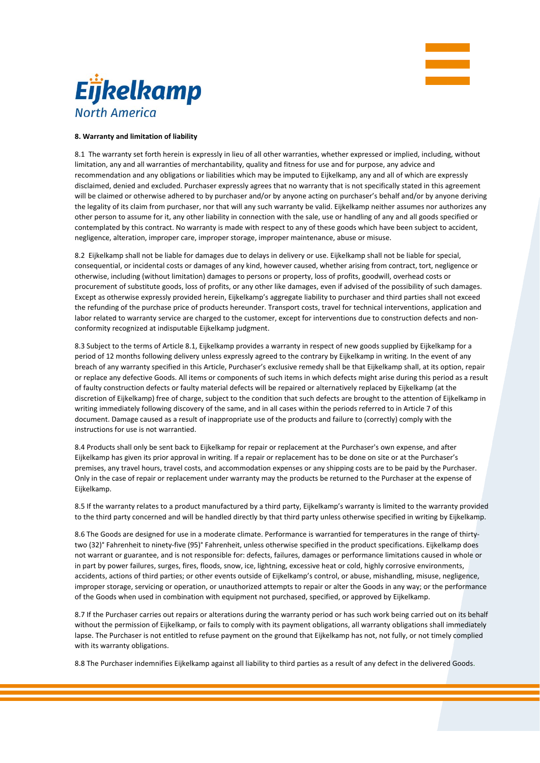



# **8. Warranty and limitation of liability**

8.1 The warranty set forth herein is expressly in lieu of all other warranties, whether expressed or implied, including, without limitation, any and all warranties of merchantability, quality and fitness for use and for purpose, any advice and recommendation and any obligations or liabilities which may be imputed to Eijkelkamp, any and all of which are expressly disclaimed, denied and excluded. Purchaser expressly agrees that no warranty that is not specifically stated in this agreement will be claimed or otherwise adhered to by purchaser and/or by anyone acting on purchaser's behalf and/or by anyone deriving the legality of its claim from purchaser, nor that will any such warranty be valid. Eijkelkamp neither assumes nor authorizes any other person to assume for it, any other liability in connection with the sale, use or handling of any and all goods specified or contemplated by this contract. No warranty is made with respect to any of these goods which have been subject to accident, negligence, alteration, improper care, improper storage, improper maintenance, abuse or misuse.

8.2 Eijkelkamp shall not be liable for damages due to delays in delivery or use. Eijkelkamp shall not be liable for special, consequential, or incidental costs or damages of any kind, however caused, whether arising from contract, tort, negligence or otherwise, including (without limitation) damages to persons or property, loss of profits, goodwill, overhead costs or procurement of substitute goods, loss of profits, or any other like damages, even if advised of the possibility of such damages. Except as otherwise expressly provided herein, Eijkelkamp's aggregate liability to purchaser and third parties shall not exceed the refunding of the purchase price of products hereunder. Transport costs, travel for technical interventions, application and labor related to warranty service are charged to the customer, except for interventions due to construction defects and nonconformity recognized at indisputable Eijkelkamp judgment.

8.3 Subject to the terms of Article 8.1, Eijkelkamp provides a warranty in respect of new goods supplied by Eijkelkamp for a period of 12 months following delivery unless expressly agreed to the contrary by Eijkelkamp in writing. In the event of any breach of any warranty specified in this Article, Purchaser's exclusive remedy shall be that Eijkelkamp shall, at its option, repair or replace any defective Goods. All items or components of such items in which defects might arise during this period as a result of faulty construction defects or faulty material defects will be repaired or alternatively replaced by Eijkelkamp (at the discretion of Eijkelkamp) free of charge, subject to the condition that such defects are brought to the attention of Eijkelkamp in writing immediately following discovery of the same, and in all cases within the periods referred to in Article 7 of this document. Damage caused as a result of inappropriate use of the products and failure to (correctly) comply with the instructions for use is not warrantied.

8.4 Products shall only be sent back to Eijkelkamp for repair or replacement at the Purchaser's own expense, and after Eijkelkamp has given its prior approval in writing. If a repair or replacement has to be done on site or at the Purchaser's premises, any travel hours, travel costs, and accommodation expenses or any shipping costs are to be paid by the Purchaser. Only in the case of repair or replacement under warranty may the products be returned to the Purchaser at the expense of Eijkelkamp.

8.5 If the warranty relates to a product manufactured by a third party, Eijkelkamp's warranty is limited to the warranty provided to the third party concerned and will be handled directly by that third party unless otherwise specified in writing by Eijkelkamp.

8.6 The Goods are designed for use in a moderate climate. Performance is warrantied for temperatures in the range of thirtytwo (32)° Fahrenheit to ninety‐five (95)° Fahrenheit, unless otherwise specified in the product specifications. Eijkelkamp does not warrant or guarantee, and is not responsible for: defects, failures, damages or performance limitations caused in whole or in part by power failures, surges, fires, floods, snow, ice, lightning, excessive heat or cold, highly corrosive environments, accidents, actions of third parties; or other events outside of Eijkelkamp's control, or abuse, mishandling, misuse, negligence, improper storage, servicing or operation, or unauthorized attempts to repair or alter the Goods in any way; or the performance of the Goods when used in combination with equipment not purchased, specified, or approved by Eijkelkamp.

8.7 If the Purchaser carries out repairs or alterations during the warranty period or has such work being carried out on its behalf without the permission of Eijkelkamp, or fails to comply with its payment obligations, all warranty obligations shall immediately lapse. The Purchaser is not entitled to refuse payment on the ground that Eijkelkamp has not, not fully, or not timely complied with its warranty obligations.

8.8 The Purchaser indemnifies Eijkelkamp against all liability to third parties as a result of any defect in the delivered Goods.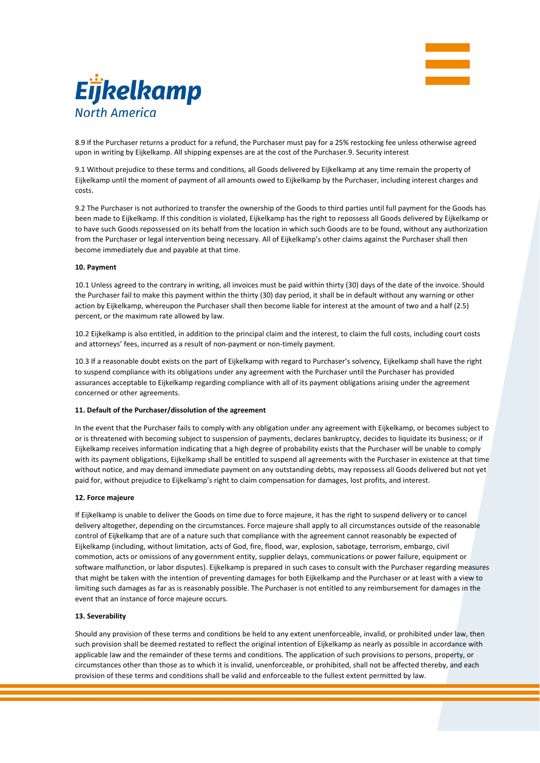



8.9 If the Purchaser returns a product for a refund, the Purchaser must pay for a 25% restocking fee unless otherwise agreed upon in writing by Eijkelkamp. All shipping expenses are at the cost of the Purchaser.9. Security interest

9.1 Without prejudice to these terms and conditions, all Goods delivered by Eijkelkamp at any time remain the property of Eijkelkamp until the moment of payment of all amounts owed to Eijkelkamp by the Purchaser, including interest charges and costs.

9.2 The Purchaser is not authorized to transfer the ownership of the Goods to third parties until full payment for the Goods has been made to Eijkelkamp. If this condition is violated, Eijkelkamp has the right to repossess all Goods delivered by Eijkelkamp or to have such Goods repossessed on its behalf from the location in which such Goods are to be found, without any authorization from the Purchaser or legal intervention being necessary. All of Eijkelkamp's other claims against the Purchaser shall then become immediately due and payable at that time.

# **10. Payment**

10.1 Unless agreed to the contrary in writing, all invoices must be paid within thirty (30) days of the date of the invoice. Should the Purchaser fail to make this payment within the thirty (30) day period, it shall be in default without any warning or other action by Eijkelkamp, whereupon the Purchaser shall then become liable for interest at the amount of two and a half (2.5) percent, or the maximum rate allowed by law.

10.2 Eijkelkamp is also entitled, in addition to the principal claim and the interest, to claim the full costs, including court costs and attorneys' fees, incurred as a result of non-payment or non-timely payment.

10.3 If a reasonable doubt exists on the part of Eijkelkamp with regard to Purchaser's solvency, Eijkelkamp shall have the right to suspend compliance with its obligations under any agreement with the Purchaser until the Purchaser has provided assurances acceptable to Eijkelkamp regarding compliance with all of its payment obligations arising under the agreement concerned or other agreements.

# **11. Default of the Purchaser/dissolution of the agreement**

In the event that the Purchaser fails to comply with any obligation under any agreement with Eijkelkamp, or becomes subject to or is threatened with becoming subject to suspension of payments, declares bankruptcy, decides to liquidate its business; or if Eijkelkamp receives information indicating that a high degree of probability exists that the Purchaser will be unable to comply with its payment obligations, Eijkelkamp shall be entitled to suspend all agreements with the Purchaser in existence at that time without notice, and may demand immediate payment on any outstanding debts, may repossess all Goods delivered but not yet paid for, without prejudice to Eijkelkamp's right to claim compensation for damages, lost profits, and interest.

## **12. Force majeure**

If Eijkelkamp is unable to deliver the Goods on time due to force majeure, it has the right to suspend delivery or to cancel delivery altogether, depending on the circumstances. Force majeure shall apply to all circumstances outside of the reasonable control of Eijkelkamp that are of a nature such that compliance with the agreement cannot reasonably be expected of Eijkelkamp (including, without limitation, acts of God, fire, flood, war, explosion, sabotage, terrorism, embargo, civil commotion, acts or omissions of any government entity, supplier delays, communications or power failure, equipment or software malfunction, or labor disputes). Eijkelkamp is prepared in such cases to consult with the Purchaser regarding measures that might be taken with the intention of preventing damages for both Eijkelkamp and the Purchaser or at least with a view to limiting such damages as far as is reasonably possible. The Purchaser is not entitled to any reimbursement for damages in the event that an instance of force majeure occurs.

# **13. Severability**

Should any provision of these terms and conditions be held to any extent unenforceable, invalid, or prohibited under law, then such provision shall be deemed restated to reflect the original intention of Eijkelkamp as nearly as possible in accordance with applicable law and the remainder of these terms and conditions. The application of such provisions to persons, property, or circumstances other than those as to which it is invalid, unenforceable, or prohibited, shall not be affected thereby, and each provision of these terms and conditions shall be valid and enforceable to the fullest extent permitted by law.